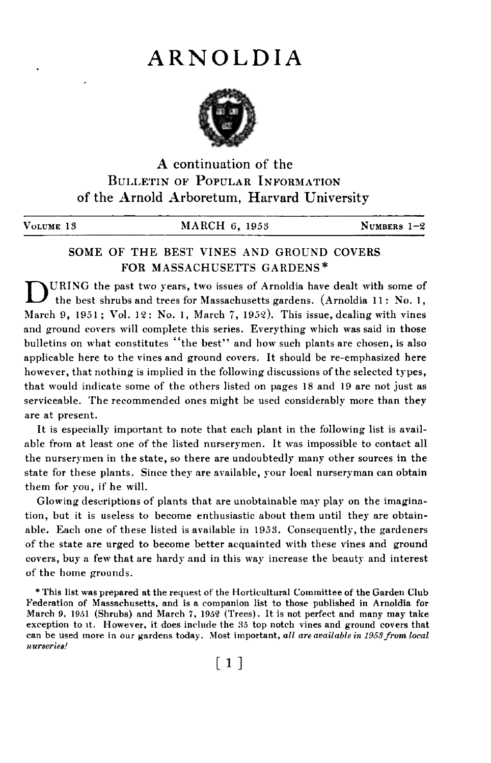# ARNOLDIA



A continuation of the BULLETIN OF POPULAR INFORMATION of the Arnold Arboretum, Harvard University

VOLUME 13 MARCH 6, 1953 NUMBERS 1-2

# SOME OF THE BEST VINES AND GROUND COVERS FOR MASSACHUSETTS GARDENS\* \*

DURING the past two years, two issues of Arnoldia have dealt with some of the best shrubs and trees for Massachusetts gardens. (Arnoldia 11 : No. 1, March 9, 1951; Vol. 12: No. 1, March 7, 1952). This issue, dealing with vines and ground covers will complete this series. Everything which was said in those bulletins on what constitutes "the best" and how such plants are chosen, is also applicable here to the vines and ground covers. It should be re-emphasized here however, that nothing is implied in the following discussions of the selected types, that would indicate some of the others listed on pages 18 and 19 are not just as serviceable. The recommended ones might be used considerably more than they are at present.

It is especially important to note that each plant in the following list is available from at least one of the listed nurserymen. It was impossible to contact all the nurserymen in the state, so there are undoubtedly many other sources in the state for these plants. Since they are available, your local nurseryman can obtain them for you, if he will.

Glowing descriptions of plants that are unobtainable may play on the imagination, but it is useless to become enthusiastic about them until they are obtainable. Each one of these listed is available in 1953. Consequently, the gardeners of the state are urged to become better acquainted with these vines and ground covers, buy a few that are hardy and in this way increase the beauty and interest of the home grounds.

\* This list was prepared at the request of the Horticultural Committee of the Garden Club Federation of Massachusetts, and is a companion list to those published in Arnoldia for March 9, 1951 (Shrubs) and March 7, 1952 (Trees). It is not perfect and many may take exception to it. However, it does inclnde the 35 top notch vines and ground covers that can be used more in our gardens today. Most important, all are available in 1953 from local nurseries!

 $\lceil 1 \rceil$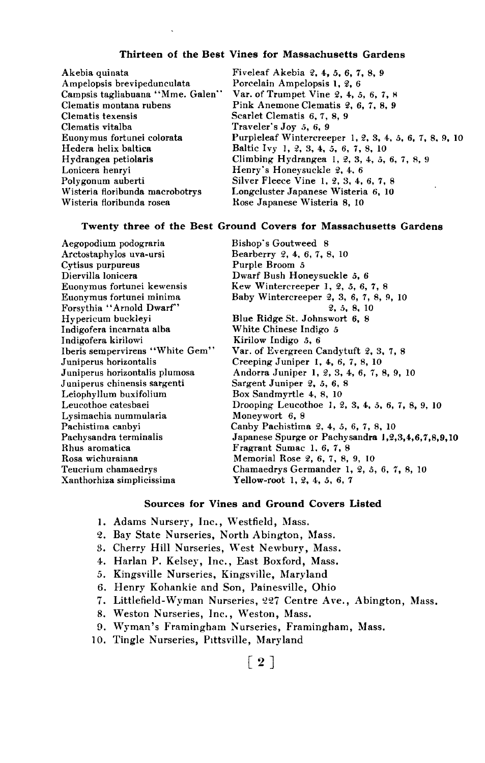## Thirteen of the Best Vines for Massachusetts Gardens

Akebia quinata Fiveleaf Akebia 2, 4, 5, 6, 7, 8, 9 Campsis tagliabuana "Mme. Galen"<br>Clematis montana rubens Clematis vitalba Traveler's Joy .5, 6, 9 Hedera helix baltica Baltic Ivy 1, 2, 3, 4, 5, 6, 7, 8, 10<br>Hydrangea petiolaris Climbing Hydrangea 1, 2, 3, 4, 5, Lonicera henryi Henry's Honeysuckle ~, 4. 6 Wisteria floribunda macrobotrys Longcluster Japanese Wisteria 6, 10<br>Wisteria floribunda rosea kose Japanese Wisteria 8, 10

Porcelain Ampelopsis 1, 2, 6<br>Var. of Trumpet Vine 2, 4, 5, 6, 7, 8 Clematis montana rubens Pink Anemone Clematis 2, 6, 7, 8, 9<br>Clematis texensis Scarlet Clematis 6, 7, 8, 9 Scarlet Clematis 6, 7, 8, 9 Euonymus fortunei colorata Purpleleaf Wintercreeper 1, 2, 3, 4, 5, 6, 7, 8, 9, 10<br>Hedera helix baltica Baltic Ivy 1, 2, 3, 4, 5, 6, 7, 8, 10 Hydrangea petiolaris Climbing Hydrangea 1, 2, 3, 4, 5, 6, 7, 8, 9<br>
Lonicera henryi Honeysuckle 2, 4, 6 Polygonum auberti Silver Fleece Vine 1, ~, 3, 4, 6, 7, 8 Rose Japanese Wisteria 8, 10

#### Twenty three of the Best Ground Covers for Massachusetts Gardens

Aegopodium podograria Bishop's Goutweed 8 Cytisus purpureus<br>Diervilla lonicera Diervilla lonicera<br>
Euonymus fortunei kewensis<br>
Kew Wintercreeper 1, 2, 5, 6, Forsythia ''Arnold Dwarf''<br>Hypericum buckleyi Indigofera incarnata alba<br>Indigofera kirilowi Indigofera kirilowi Kirilow Indigo .5, 6 Juniperus horizontalis Creeping Juniper 1, 4, 6, 7, 8, 10<br>Juniperus horizontalis plumosa Andorra Juniper 1, 2, 3, 4, 6, 7, 8 Juniperus chinensis sargenti<br>Leiophyllum buxifolium Leiophyllum buxifolium Box Sandmyrtle 4, 8, 10<br>
Leucothoe catesbaei Drooping Leucothoe 1, 2 Lysimachia nummularia<br>Pachistima canbyi Rhus aromatica Fragrant Sumac 1. 6, 7, 8 Rosa wichuraiana Memorial Rose ~, 6, 7, 8, 9, 10

Bearberry 2, 4, 6, 7, 8, 10<br>Purple Broom  $5$ Euonymus fortunei kewensis Kew Wintercreeper 1, 2, 5, 6, 7, 8<br>Euonymus fortunei minima Baby Wintercreeper 2, 3, 6, 7, 8, 9 Baby Wintercreeper 2, 3, 6, 7, 8, 9, 10<br>  $2, 5, 8, 10$ Blue Ridge St. Johnswort 6, 8<br>White Chinese Indigo 5 Iberis sempervirens "White Gem" Var. of Evergreen Candytuft 2, 3, 7, 8<br>Juniperus horizontalis Creeping Juniper 1, 4, 6, 7, 8, 10 Andorra Juniper 1, 2, 3, 4, 6, 7, 8, 9, 10<br>Sargent Juniper 2, 5, 6, 8 Drooping Leucothoe 1, 2, 3, 4, 5, 6, 7, 8, 9, 10<br>Moneywort 6, 8 Pachistima canbyi Canby Pachistima 2, 4, 5, 6, 7, 8, 10<br>Pachysandra terminalis Japanese Spurge or Pachysandra 1,2, Pachysandra terminalis Japanese Spurge or Pachysandra 1,2,3,4,6,7,8,9,10 Teucrium chamaedrys Chamaedrys Germander 1, 2, 5, 6, 7, 8, 10<br>
Xanthorhiza simplicissima **Yellow-root 1, 2, 4, 5, 6, 7** Yellow-root 1,  $2, 4, 5, 6, 7$ 

#### Sources for Vines and Ground Covers Listed

- 1. Adams Nursery, Inc., Westfield, Mass.
- 2. Bay State Nurseries, North Abington, Mass.
- 3. Cherry Hill Nurseries, West Newbury, Mass.
- 4. Harlan P. Kelsey, Inc., East Boxford, Mass.
- 5. Kingsville Nurseries, Kingsville, Maryland
- 6. Henry Kohankie and Son, Painesville, Ohio
- 7. Littlefield-Wyman Nurseries, 227 Centre Ave., Abington, Mass.
- 8. Weston Nurseries, Inc., Weston, Mass.
- 9. Wyman's Framingham Nurseries, Framingham, Mass.
- 10. Tingle Nurseries, Pittsville, Maryland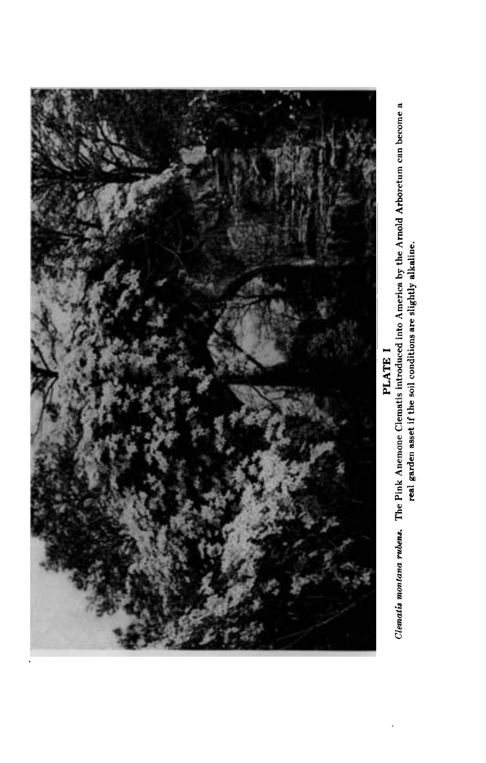

Clematis montana rubens. The Pink Anemone Clematis introduced into America by the Arnold Arboretum can become a<br>real garden asset if the soil conditions are slightly alkaline.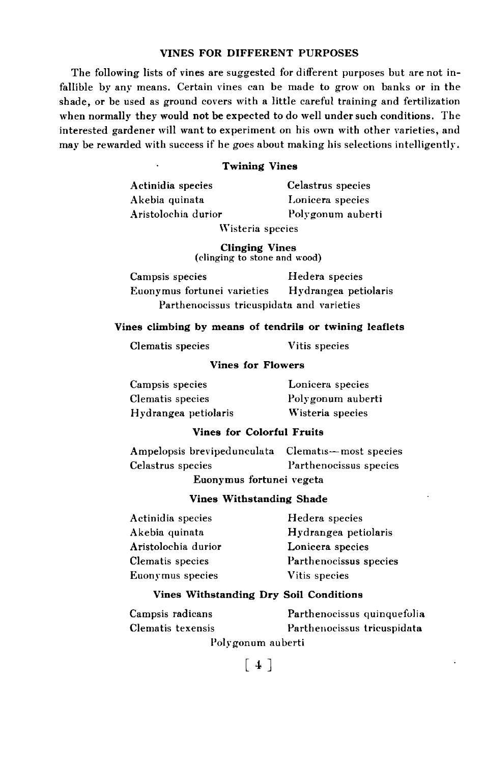## **VINES FOR DIFFERENT PURPOSES**

The following lists of vines are suggested for different purposes but are not infallible by any means. Certain vines can be made to grow on banks or in the shade, or be used as ground covers with a little careful training and fertilization when normally they would not be expected to do well under such conditions. The interested gardener will want to experiment on his own with other varieties, and may be rewarded with success if he goes about making his selections intelligently.

## . Twining Vines

Akebia quinata Lonicera species

Actinidia species Celastrus species Aristolochia durior Polygonum auberti

Wisteria species

Clinging Vines (clinging to stone and wood)

Campsis species Hedera species Euonymus fortunei varieties Hydrangea petiolaris Parthenocissus tricuspidata and varieties

## Vines climbing by means of tendrils or twining leaflets

Clematis species Vitis species

## Vines for Flowers

Campsis species Lonicera species Clematis species Polygonum auberti Hydrangea petiolaris Wisteria species

## Vines for Colorful Fruits

Ampelopsis brevipedunculata Clematis-most species Celastrus species Parthenocissus species Euonymus fortunei vegeta

Vines Withstanding Shade '

| Actinidia species   | Hedera species         |
|---------------------|------------------------|
| Akebia quinata      | Hydrangea petiolaris   |
| Aristolochia durior | Lonicera species       |
| Clematis species    | Parthenoeissus species |
| Euonymus species    | Vitis species          |

#### Vines Withstanding Dry Soil Conditions

Campsis radicans Parthenocissus quinquefolia Clematis texensis Parthenocissus tricuspidata Polygonum auberti

 $[4]$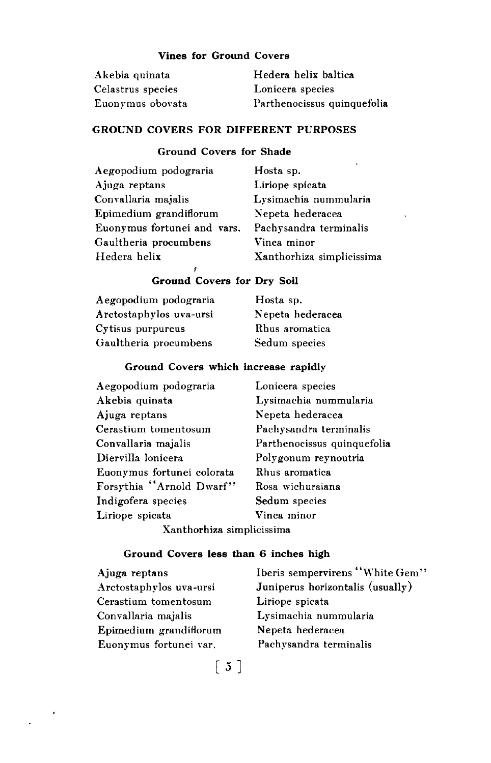# **Vines for Ground Covers**

| Akebia quinata    | Hedera helix baltica        |
|-------------------|-----------------------------|
| Celastrus species | Lonicera species            |
| Euonymus obovata  | Parthenocissus quinquefolia |

# GROUND COVERS FOR DIFFERENT PURPOSES

# Ground Covers for Shade

| Aegopodium podograria       | Hosta sp.                 |
|-----------------------------|---------------------------|
| Ajuga reptans               | Liriope spicata           |
| Convallaria majalis         | Lysimachia nummularia     |
| Epimedium grandiflorum      | Nepeta hederacea          |
| Euonymus fortunei and vars. | Pachysandra terminalis    |
| Gaultheria procumbens       | Vinca minor               |
| Hedera helix                | Xanthorhiza simplicissima |

# Ground Covers for Dry Soil

~

| Aegopodium podograria   | Hosta sp.        |
|-------------------------|------------------|
| Arctostaphylos uva-ursi | Nepeta hederacea |
| Cytisus purpureus       | Rhus aromatica   |
| Gaultheria procumbens   | Sedum species    |

## Ground Covers which increase rapidly

| Aegopodium podograria      | Lonicera species            |
|----------------------------|-----------------------------|
| Akebia quinata             | Lysimachia nummularia       |
| Ajuga reptans              | Nepeta hederacea            |
| Cerastium tomentosum       | Pachysandra terminalis      |
| Convallaria majalis        | Parthenocissus quinquefolia |
| Diervilla lonicera         | Polygonum reynoutria        |
| Euonymus fortunei colorata | Rhus aromatica              |
| Forsythia "Arnold Dwarf"   | Rosa wichuraiana            |
| Indigofera species         | Sedum species               |
| Liriope spicata            | Vinca minor                 |
| Vantharhiga simplisissima  |                             |

Xanthorhiza simplicissima

## Ground Covers less than 6 inches high

| Ajuga reptans           | Iberis sempervirens "White Gem"  |
|-------------------------|----------------------------------|
| Arctostaphylos uva-ursi | Juniperus horizontalis (usually) |
| Cerastium tomentosum    | Liriope spicata                  |
| Convallaria majalis     | Lysimachia nummularia            |
| Epimedium grandiflorum  | Nepeta hederacea                 |
| Euonymus fortunei var.  | Pachysandra terminalis           |

 $\begin{bmatrix} 5 \end{bmatrix}$ 

 $\ddot{\phantom{0}}$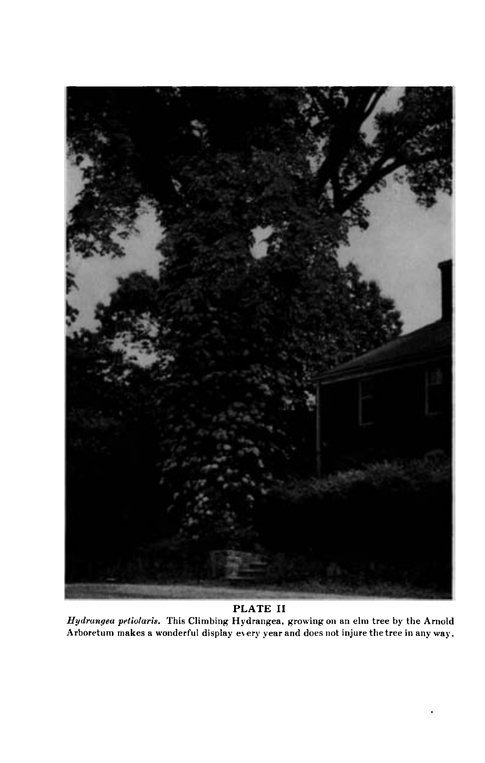

# PLATE II

Hydrangea petiolaris. This Climbing Hydrangea, growing on an elm tree by the Arnold Arboretum makes a wonderful display every year and does not injure the tree in any way.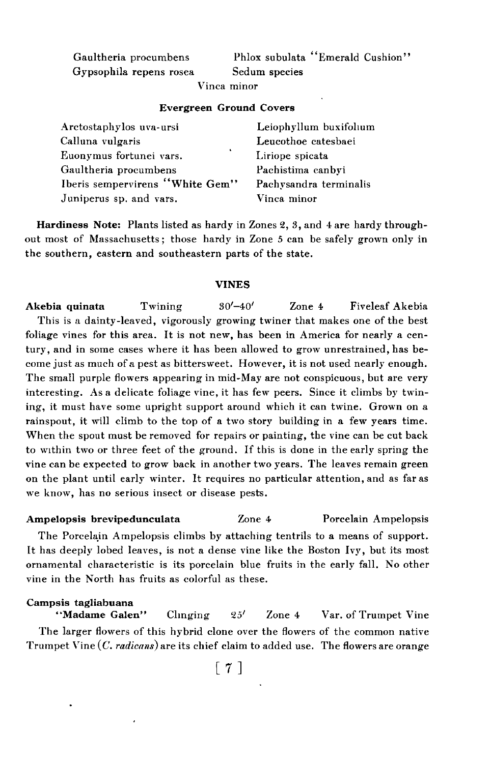Gaultheria procumbens Gypsophila repens rosea Phlox subulata "Emerald Cushion" Sedum species

Vinca minor

#### Evergreen Ground Covers

| Arctostaphylos uva-ursi         | Leiophyllum buxifolium |
|---------------------------------|------------------------|
| Calluna vulgaris                | Leucothoe catesbaei    |
| ٠<br>Euonymus fortunei vars.    | Liriope spicata        |
| Gaultheria procumbens           | Pachistima canbvi      |
| Iberis sempervirens "White Gem" | Pachysandra terminalis |
| Juniperus sp. and vars.         | Vinca minor            |

Hardiness Note: Plants listed as hardy in Zones 2,3, and 4 are hardy through out most of Massachusetts; those hardy in Zone 5 can be safely grown only in the southern, eastern and southeastern parts of the state.

#### VINES

Akebia quinata Twining  $30'-40'$  Zone 4 Fiveleaf Akebia This is a dainty-leaved, vigorously growing twiner that makes one of the best foliage vines for this area. It is not new, has been in America for nearly a century, and in some cases where it has been allowed to grow unrestrained, has become just as much of a pest as bittersweet. However, it is not used nearly enough. The small purple flowers appearing in mid-May are not conspicuous, but are very interesting. As a delicate foliage vine, it has few peers. Since it climbs by twining, it must have some upright support around which it can twine. Grown on a rainspout, it will climb to the top of a two story building in a few years time. When the spout must be removed for repairs or painting, the vine can be cut back to within two or three feet of the ground. If this is done in the early spring the vine can be expected to grow back in another two years. The leaves remain green on the plant until early winter. It requires no particular attention, and as far as we know, has no serious insect or disease pests.

# Ampelopsis brevipedunculata Zone 4 Porcelain Ampelopsis

The Porcelain Ampelopsis climbs by attaching tentrils to a means of support. It has deeply lobed leaves, is not a dense vine like the Boston Ivy, but its most ornamental characteristic is its porcelain blue fruits in the early fall. No other vine in the North has fruits as colorful as these.

# Campsis tagliabuana

Clinging  $25'$  Zone 4 Var. of Trumpet Vine The larger flowers of this hybrid clone over the flowers of the common native Trumpet Vine  $(C.$  radicans) are its chief claim to added use. The flowers are orange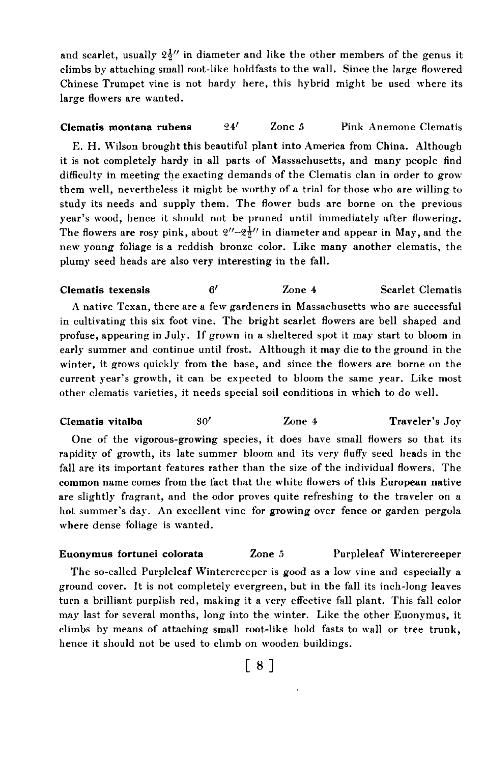and scarlet, usually  $2\frac{1}{2}$ " in diameter and like the other members of the genus it climbs by attaching small root-like holdfasts to the wall. Since the large flowered Chinese Trumpet vine is not hardy here, this hybrid might be used where its large flowers are wanted.

## **Clematis montana rubens**  $24'$  Zone 5 Pink Anemone Clematis

E. H. Wilson brought this beautiful plant into America from China. Although it is not completely hardy in all parts of Massachusetts, and many people find difficulty in meeting the exacting demands of the Clematis clan in order to grow them well, nevertheless it might be worthy of a trial for those who are willing to study its needs and supply them. The flower buds are borne on the previous year's wood, hence it should not be pruned until immediately after flowering. The flowers are rosy pink, about  $2''-2\frac{1}{2}''$  in diameter and appear in May, and the new young foliage is a reddish bronze color. Like many another clematis, the plumy seed heads are also very interesting in the fall.

 $C$  Clematis texensis  $6'$  Zone 4 Scarlet Clematis A native Texan, there are a few gardeners in Massachusetts who are successful in cultivating this six foot vine. The bright scarlet flowers are bell shaped and profuse, appearing in July. If grown in a sheltered spot it may start to bloom in early summer and continue until frost. Although it may die to the ground in the winter, it grows quickly from the base, and since the flowers are borne on the current year's growth, it can be expected to bloom the same year. Like most other clematis varieties, it needs special soil conditions in which to do well.

Clematis vitalba  $30'$  Zone 4 Traveler's Joy

One of the vigorous-growing species, it does have small flowers so that its rapidity of growth, its late summer bloom and its very fluffy seed heads in the fall are its important features rather than the size of the individual flowers. The common name comes from the fact that the white flowers of this European native are slightly fragrant, and the odor proves quite refreshing to the traveler on a hot summer's day. An excellent vine for growing over fence or garden pergola where dense foliage is wanted.

# Euonymus fortunei colorata Zone 5 Purpleleaf Wintercreeper

The so-called Purpleleaf Wintercreeper is good as a low vine and especially a ground cover. It is not completely evergreen, but in the fall its inch-long leaves turn a brilliant purplish red, making it a very effective fall plant. This fall color may last for several months, long into the winter. Like the other Euonymus, it climbs by means of attaching small root-like hold fasts to wall or tree trunk, hence it should not be used to climb on wooden buildings.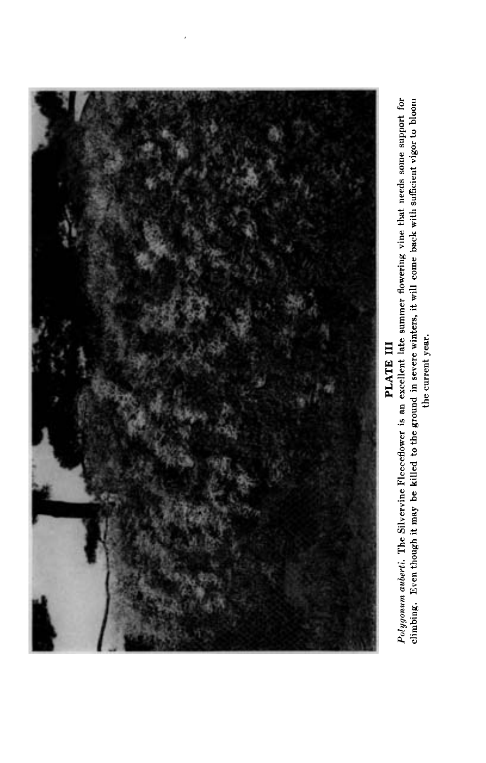

Polygonum auborti. The Silvervine Fleeceflower is an excellent late summer flowering vine that needs some support for climbing. Even though it may be killed to the ground in severe winters, it will come back with sufficien the current year.

PLATE III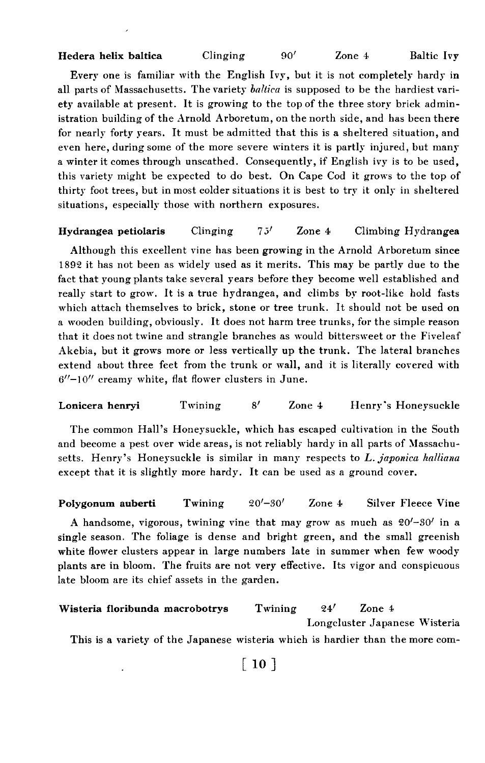Hedera helix baltica Clinging 90' Zone 4 Baltic Ivy

Every one is familiar with the English Ivy, but it is not completely hardy in all parts of Massachusetts. The variety ballica is supposed to be the hardiest variety available at present. It is growing to the top of the three story brick administration building of the Arnold Arboretum, on the north side, and has been there for nearly forty years. It must be admitted that this is a sheltered situation, and even here, during some of the more severe winters it is partly injured, but many a winter it comes through unscathed. Consequently, if English ivy is to be used, this variety might be expected to do best. On Cape Cod it grows to the top of thirty foot trees, but in most colder situations it is best to try it only in sheltered situations, especially those with northern exposures.

# **Hydrangea petiolaris** Clinging  $75′$  Zone 4 Climbing Hydrangea

Although this excellent vine has been growing in the Arnold Arboretum since 1892 it has not been as widely used as it merits. This may be partly due to the fact that young plants take several years before they become well established and really start to grow. It is a true hydrangea, and climbs by root-like hold fasts which attach themselves to brick, stone or tree trunk. It should not be used on a wooden building, obviously. It does not harm tree trunks, for the simple reason that it does not twine and strangle branches as would bittersweet or the Fiveleaf Akebia, but it grows more or less vertically up the trunk. The lateral branches extend about three feet from the trunk or wall, and it is literally covered with  $6''-10''$  creamy white, flat flower clusters in June.

Lonicera henryi Twining 8' Zone 4 Henry's Honeysuckle

The common Hall's Honeysuckle, which has escaped cultivation in the South and become a pest over wide areas, is not reliably hardy in all parts of Massachusetts. Henry's Honeysuckle is similar in many respects to L. japonica halliana except that it is slightly more hardy. It can be used as a ground cover.

## Polygonum auberti Twining  $20'-30'$  Zone 4 Silver Fleece Vine

A handsome, vigorous, twining vine that may grow as much as  $20'-30'$  in a single season. The foliage is dense and bright green, and the small greenish white flower clusters appear in large numbers late in summer when few woody plants are in bloom. The fruits are not very effective. Its vigor and conspicuous late bloom are its chief assets in the garden.

```
Wisteria floribunda macrobotrys Twining 24' Zone 4
                                            Longcluster Japanese Wisteria
 This is a variety of the Japanese wisteria which is hardier than the more com-
```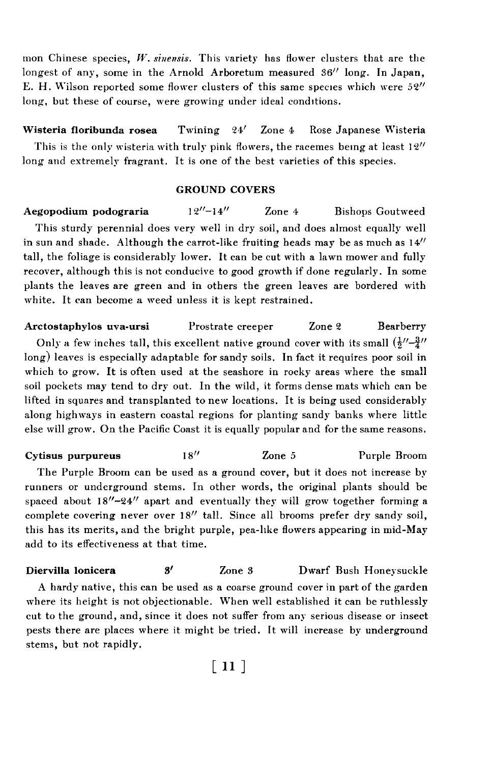mon Chinese species, W. sinensis. This variety has flower clusters that are the longest of any, some in the Arnold Arboretum measured  $36''$  long. In Japan, E. H. Wilson reported some flower clusters of this same species which were  $52''$ long, but these of course, were growing under ideal conditions.

Wisteria floribunda rosea Twining 24' Zone 4 Rose Japanese Wisteria This is the only wisteria with truly pink flowers, the racemes being at least  $12''$ long and extremely fragrant. It is one of the best varieties of this species.

## GROUND COVERS

Aegopodium podograria  $12^{\prime\prime}-14^{\prime\prime}$  Zone 4 Bishops Goutweed This sturdy perennial does very well in dry soil, and does almost equally well in sun and shade. Although the carrot-like fruiting heads may be as much as  $14^{\prime\prime}$ tall, the foliage is considerably lower. It can be cut with a lawn mower and fully recover, although this is not conducive to good growth if done regularly. In some plants the leaves are green and in others the green leaves are bordered with white. It can become a weed unless it is kept restrained.

Arctostaphylos uva-ursi Prostrate creeper Zone 2 Bearberry Only a few inches tall, this excellent native ground cover with its small  $(\frac{1}{2}'' - \frac{3}{4}''')$ long) leaves is especially adaptable for sandy soils. In fact it requires poor soil in which to grow. It is often used at the seashore in rocky areas where the small soil pockets may tend to dry out. In the wild, it forms dense mats which can be lifted in squares and transplanted to new locations. It is being used considerably along highways in eastern coastal regions for planting sandy banks where little else will grow. On the Pacific Coast it is equally popular and for the same reasons.

Cytisus purpureus 18<sup>77</sup> 200e 5 Purple Broom The Purple Broom can be used as a ground cover, but it does not increase by runners or underground stems. In other words, the original plants should be spaced about  $18''-24''$  apart and eventually they will grow together forming a complete covering never over 18" tall. Since all brooms prefer dry sandy soil, this has its merits, and the bright purple, pea-like flowers appearing in mid-May add to its effectiveness at that time.

Diervilla lonicera 3<sup>'</sup> Zone 3 Dwarf Bush Honeysuckle A hardy native, this can be used as a coarse ground cover in part of the garden where its height is not objectionable. When well established it can be ruthlessly cut to the ground, and, since it does not suffer from any serious disease or insect pests there are places where it might be tried. It will increase by underground stems, but not rapidly.

 $[11]$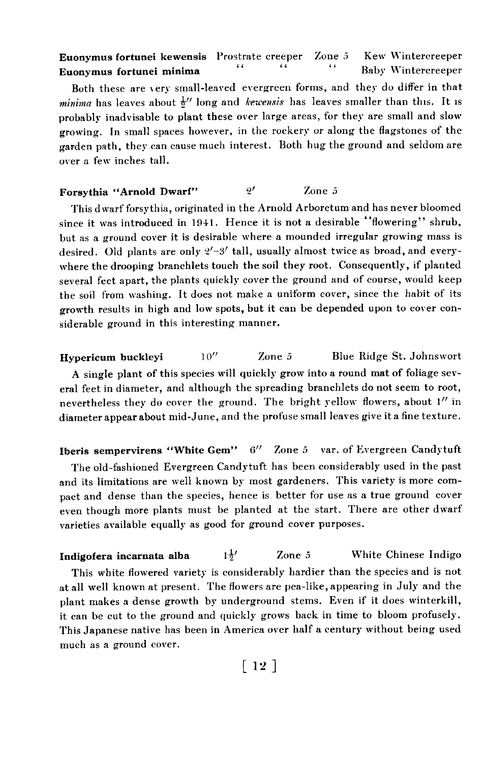# Euonymus fortunei kewensis Prostrate creeper Zone 5 Kew Wintercreeper<br>Euonymus fortunei minima (1999) (1999) (1999) (1999) (1999) (1999) (1999) (1999) (1999) (1999) (1999) (1999) ( Euonymus fortunei minima Both these are very small-leaved evergreen forms, and they do differ in that minima has leaves about  $\frac{1}{2}$  long and kewensis has leaves smaller than this. It is probably inadvisable to plant these over large areas, for they are small and slow growing. In small spaces however, in the rockery or along the flagstones of the garden path, they can cause much interest. Both hug the ground and seldom are over a few inches tall.

# Forsythia "Arnold Dwarf"  $2'$  Zone 5

This dwarf forsythia, originated in the Arnold Arboretum and has never bloomed since it was introduced in 1941. Hence it is not a desirable "flowering" shrub. but as a ground cover it is desirable where a mounded irregular growing mass is desired. Old plants are only  $2'-3'$  tall, usually almost twice as broad, and everywhere the drooping branchlets touch the soil they root. Consequently, if planted several feet apart, the plants quickly cover the ground and of course, would keep the soil from washing. It does not make a uniform cover, since the habit of its growth results in high and low spots, but it can be depended upon to cover considerable ground in this interesting manner.

Hypericum buckleyi 10<sup>"</sup> Zone 5 Blue Ridge St. Johnswort A single plant of this species will quickly grow into a round mat of foliage several feet in diameter, and although the spreading branchlets do not seem to root, nevertheless they do cover the ground. The bright yellow flowers, about 1" in diameter appear about mid-June, and the profuse small leaves give it a fine texture.

Iberis sempervirens "White Gem" 6" Zone 5 var. of Evergreen Candytuft The old-fashioned Evergreen Candytuft has been considerably used in the past and its limitations are well known by most gardeners. This variety is more compact and dense than the species, hence is better for use as a true ground cover even though more plants must be planted at the start. There are other dwarf varieties available equally as good for ground cover purposes.

**Indigofera incarnata alba**  $1\frac{1}{2}$  Zone 5 White Chinese Indigo This white flowered variety is considerably hardier than the species and is not at all well known at present. The flowers are pea-like, appearing in July and the plant makes a dense growth by underground stems. Even if it does winterkill, it can be cut to the ground and quickly grows back in time to bloom profusely. This Japanese native has been in America over half a century without being used much as a ground cover.

 $\lceil 12 \rceil$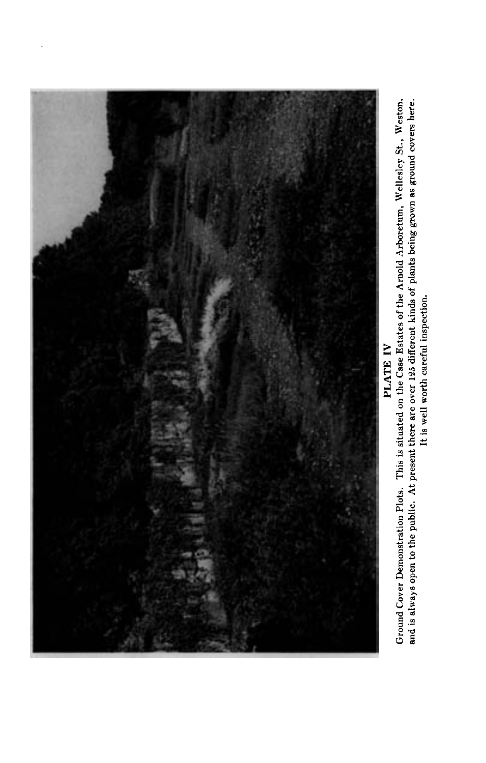

PLATE IV

Ground Cover Demonstration Plots. This is situated on the Case Estates of the Arnold Arboretum, Wellesley St., Weston, and is always open to the public. At present there are over 125 different kinds of plants being grown as ground covers here.<br>It is well worth careful inspection.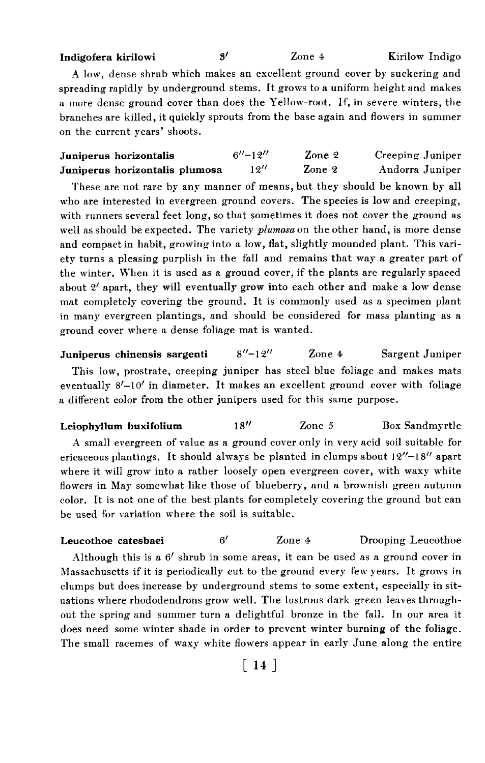Indigofera kirilowi 8<sup>'</sup> Zone 4 Kirilow Indigo

A low, dense shrub which makes an excellent ground cover by suckering and spreading rapidly by underground stems. It grows to a uniform height and makes a more dense ground cover than does the Yellow-root. If, in severe winters, the branches are killed, it quickly sprouts from the base again and flowers in summer on the current years' shoots.

| Juniperus horizontalis         | $6'' - 19''$ | Zone 2 | Creeping Juniper |
|--------------------------------|--------------|--------|------------------|
| Juniperus horizontalis plumosa | 19''         | Zone 2 | Andorra Juniper  |

These are not rare by any manner of means, but they should be known by all who are interested in evergreen ground covers. The species is low and creeping, with runners several feet long, so that sometimes it does not cover the ground as well as should be expected. The variety  $plumosa$  on the other hand, is more dense and compact in habit, growing into a low, flat, slightly mounded plant. This variety turns a pleasing purplish in the fall and remains that way a greater part of the winter. When it is used as a ground cover, if the plants are regularly spaced about 2' apart, they will eventually grow into each other and make a low dense mat completely covering the ground. It is commonly used as a specimen plant in many evergreen plantings, and should be considered for mass planting as a ground cover where a dense foliage mat is wanted.

**Juniperus chinensis sargenti**  $8''-12''$  Zone 4 Sargent Juniper This low, prostrate, creeping juniper has steel blue foliage and makes mats eventually  $8'-10'$  in diameter. It makes an excellent ground cover with foliage a different color from the other junipers used for this same purpose.

Leiophyllum buxifolium 18" Zone 5 Box Sandmyrtle A small evergreen of value as a ground cover only in very acid soil suitable for ericaceous plantings. It should always be planted in clumps about  $12''-18''$  apart where it will grow into a rather loosely open evergreen cover, with waxy white flowers in May somewhat like those of blueberry, and a brownish green autumn color. It is not one of the best plants for completely covering the ground but can be used for variation where the soil is suitable.

Leucothoe catesbaei 6<sup>'</sup> Zone 4 Drooping Leucothoe Although this is a  $6'$  shrub in some areas, it can be used as a ground cover in Massachusetts if it is periodically cut to the ground every few years. It grows in clumps but does increase by underground stems to some extent, especially in situations where rhododendrons grow well. The lustrous dark green leaves throughout the spring and summer turn a delightful bronze in the fall. In our area it does need some winter shade in order to prevent winter burning of the foliage. The small racemes of waxy white flowers appear in early June along the entire

 $\lceil 14 \rceil$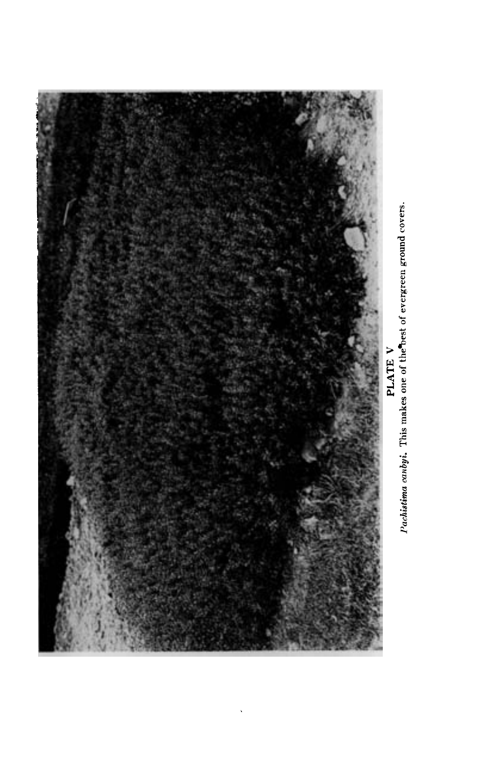

PLATE V<br>  $P$  respectively a produced in the property of evergreen ground covers.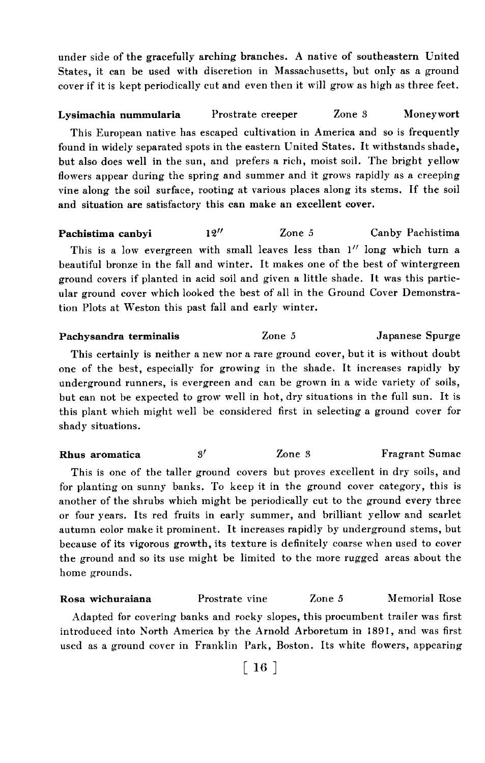under side of the gracefully arching branches. A native of southeastern United States, it can be used with discretion in Massachusetts, but only as a ground cover if it is kept periodically cut and even then it will grow as high as three feet.

# Lysimachia nummularia Prostrate creeper Zone 3 Moneywort This European native has escaped cultivation in America and so is frequently found in widely separated spots in the eastern United States. It withstands shade, but also does well in the sun, and prefers a rich, moist soil. The bright yellow flowers appear during the spring and summer and it grows rapidly as a creeping vine along the soil surface, rooting at various places along its stems. If the soil and situation are satisfactory this can make an excellent cover.

Pachistima canbyi 12" Zone 5 Canby Pachistima This is a low evergreen with small leaves less than 1" long which turn a beautiful bronze in the fall and winter. It makes one of the best of wintergreen ground covers if planted in acid soil and given a little shade. It was this particular ground cover which looked the best of all in the Ground Cover Demonstration Plots at Weston this past fall and early winter.

Pachysandra terminalis Zone 5 Japanese Spurge

This certainly is neither a new nor a rare ground cover, but it is without doubt one of the best, especially for growing in the shade. It increases rapidly by underground runners, is evergreen and can be grown in a wide variety of soils, but can not be expected to grow well in hot, dry situations in the full sun. It is this plant which might well be considered first in selecting a ground cover for shady situations.

Rhus aromatica 3<sup>7</sup> Zone 3 Fragrant Sumac

This is one of the taller ground covers but proves excellent in dry soils, and for planting on sunny banks. To keep it in the ground cover category, this is another of the shrubs which might be periodically cut to the ground every three or four years. Its red fruits in early summer, and brilliant yellow and scarlet autumn color make it prominent. It increases rapidly by underground stems, but because of its vigorous growth, its texture is definitely coarse when used to cover the ground and so its use might be limited to the more rugged areas about the home grounds.

Rosa wichuraiana Prostrate vine Zone 5 Memorial Rose Adapted for covering banks and rocky slopes, this procumbent trailer was first introduced into North America by the Arnold Arboretum in 1891, and was first used as a ground cover in Franklin Park, Boston. Its white flowers, appearing

 $\lceil 16 \rceil$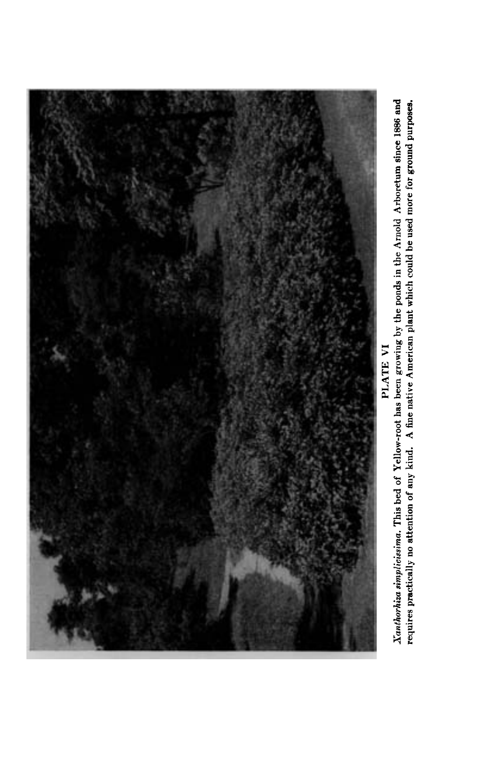

Xanthorhiza simplicissima. This bed of Yellow-root has been growing by the ponds in the Arnold Arboretum since 1886 and<br>requires practically no attention of any kind. A fine native American plant which could be used more f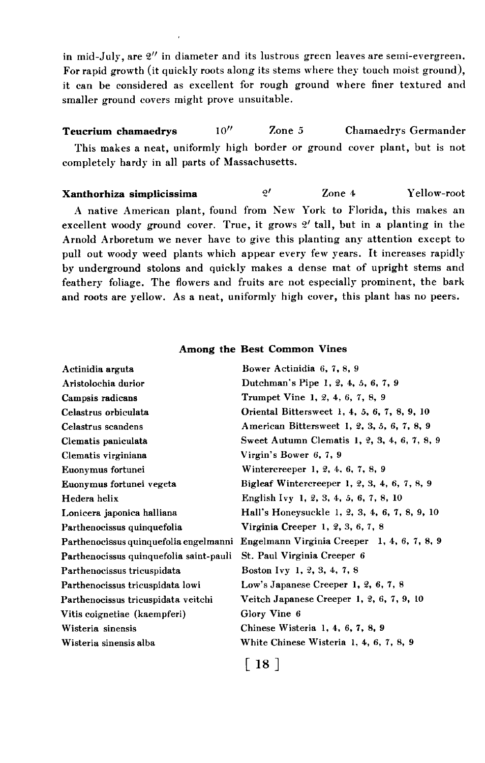in mid-July, are  $2''$  in diameter and its lustrous green leaves are semi-evergreen. For rapid growth (it quickly roots along its stems where they touch moist ground). it can be considered as excellent for rough ground where finer textured and smaller ground covers might prove unsuitable.

Teucrium chamaedrys 10<sup>"</sup> Zone 5 Chamaedrys Germander This makes a neat, uniformly high border or ground cover plant, but is not completely hardy in all parts of Massachusetts.

Xanthorhiza simplicissima  $\frac{2}{'}$  Zone 4 Yellow-root A native American plant, found from New York to Florida, this makes an excellent woody ground cover. True, it grows  $2'$  tall, but in a planting in the Arnold Arboretum we never have to give this planting any attention except to pull out woody weed plants which appear every few years. It increases rapidly by underground stolons and quickly makes a dense mat of upright stems and feathery foliage. The flowers and fruits are not especially prominent, the bark and roots are yellow. As a neat, uniformly high cover, this plant has no peers.

| Actinidia arguta                        | Bower Actinidia 6, 7, 8, 9                    |
|-----------------------------------------|-----------------------------------------------|
| Aristolochia durior                     | Dutchman's Pipe 1, 2, 4, 5, 6, 7, 9           |
| Campsis radicans                        | Trumpet Vine 1, 2, 4, 6, 7, 8, 9              |
| Celastrus orbiculata                    | Oriental Bittersweet 1, 4, 5, 6, 7, 8, 9, 10  |
| Celastrus scandens                      | American Bittersweet 1, 2, 3, 5, 6, 7, 8, 9   |
| Clematis paniculata                     | Sweet Autumn Clematis 1, 2, 3, 4, 6, 7, 8, 9  |
| Clematis virginiana                     | Virgin's Bower 6, 7, 9                        |
| Euonymus fortunei                       | Wintercreeper 1, 2, 4, 6, 7, 8, 9             |
| Euonymus fortunei vegeta                | Bigleaf Wintercreeper 1, 2, 3, 4, 6, 7, 8, 9  |
| Hedera helix                            | English Ivy 1, 2, 3, 4, 5, 6, 7, 8, 10        |
| Lonicera japonica halliana              | Hall's Honeysuckle 1, 2, 3, 4, 6, 7, 8, 9, 10 |
| Parthenocissus quinquefolia             | Virginia Creeper 1, 2, 3, 6, 7, 8             |
| Parthenocissus quinquefolia engelmanni  | Engelmann Virginia Creeper 1, 4, 6, 7, 8, 9   |
| Parthenocissus quinquefolia saint-pauli | St. Paul Virginia Creeper 6                   |
| Parthenocissus tricuspidata             | Boston Ivy 1, 2, 3, 4, 7, 8                   |
| Parthenocissus tricuspidata lowi        | Low's Japanese Creeper 1, 2, 6, 7, 8          |
| Parthenocissus tricuspidata veitchi     | Veitch Japanese Creeper 1, 2, 6, 7, 9, 10     |
| Vitis coignetiae (kaempferi)            | Glory Vine 6                                  |
| Wisteria sinensis                       | Chinese Wisteria 1, 4, 6, 7, 8, 9             |
| Wisteria sinensis alba                  | White Chinese Wisteria 1, 4, 6, 7, 8, 9       |
|                                         | [ 18 ]                                        |

#### Among the Best Common Vines